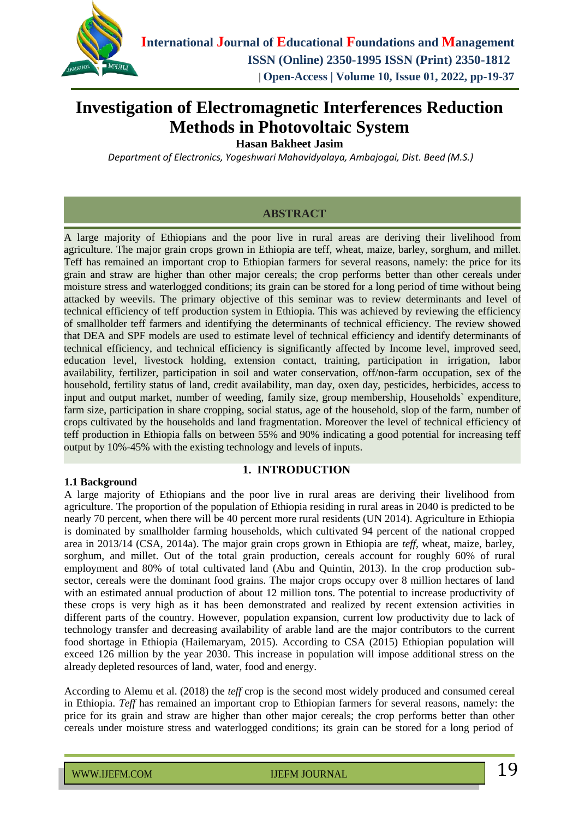

# **Investigation of Electromagnetic Interferences Reduction Methods in Photovoltaic System**

**Hasan Bakheet Jasim**

*Department of Electronics, Yogeshwari Mahavidyalaya, Ambajogai, Dist. Beed (M.S.)*

### **ABSTRACT**

A large majority of Ethiopians and the poor live in rural areas are deriving their livelihood from agriculture. The major grain crops grown in Ethiopia are teff, wheat, maize, barley, sorghum, and millet. Teff has remained an important crop to Ethiopian farmers for several reasons, namely: the price for its grain and straw are higher than other major cereals; the crop performs better than other cereals under moisture stress and waterlogged conditions; its grain can be stored for a long period of time without being attacked by weevils. The primary objective of this seminar was to review determinants and level of technical efficiency of teff production system in Ethiopia. This was achieved by reviewing the efficiency of smallholder teff farmers and identifying the determinants of technical efficiency. The review showed that DEA and SPF models are used to estimate level of technical efficiency and identify determinants of technical efficiency, and technical efficiency is significantly affected by Income level, improved seed, education level, livestock holding, extension contact, training, participation in irrigation, labor availability, fertilizer, participation in soil and water conservation, off/non-farm occupation, sex of the household, fertility status of land, credit availability, man day, oxen day, pesticides, herbicides, access to input and output market, number of weeding, family size, group membership, Households` expenditure, farm size, participation in share cropping, social status, age of the household, slop of the farm, number of crops cultivated by the households and land fragmentation. Moreover the level of technical efficiency of teff production in Ethiopia falls on between 55% and 90% indicating a good potential for increasing teff output by 10%-45% with the existing technology and levels of inputs.

#### **1.1 Background**

### **1. INTRODUCTION**

A large majority of Ethiopians and the poor live in rural areas are deriving their livelihood from agriculture. The proportion of the population of Ethiopia residing in rural areas in 2040 is predicted to be nearly 70 percent, when there will be 40 percent more rural residents (UN 2014). Agriculture in Ethiopia is dominated by smallholder farming households, which cultivated 94 percent of the national cropped area in 2013/14 (CSA, 2014a). The major grain crops grown in Ethiopia are *teff*, wheat, maize, barley, sorghum, and millet. Out of the total grain production, cereals account for roughly 60% of rural employment and 80% of total cultivated land (Abu and Quintin, 2013). In the crop production subsector, cereals were the dominant food grains. The major crops occupy over 8 million hectares of land with an estimated annual production of about 12 million tons. The potential to increase productivity of these crops is very high as it has been demonstrated and realized by recent extension activities in different parts of the country. However, population expansion, current low productivity due to lack of technology transfer and decreasing availability of arable land are the major contributors to the current food shortage in Ethiopia (Hailemaryam, 2015). According to CSA (2015) Ethiopian population will exceed 126 million by the year 2030. This increase in population will impose additional stress on the already depleted resources of land, water, food and energy.

According to Alemu et al. (2018) the *teff* crop is the second most widely produced and consumed cereal in Ethiopia. *Teff* has remained an important crop to Ethiopian farmers for several reasons, namely: the price for its grain and straw are higher than other major cereals; the crop performs better than other cereals under moisture stress and waterlogged conditions; its grain can be stored for a long period of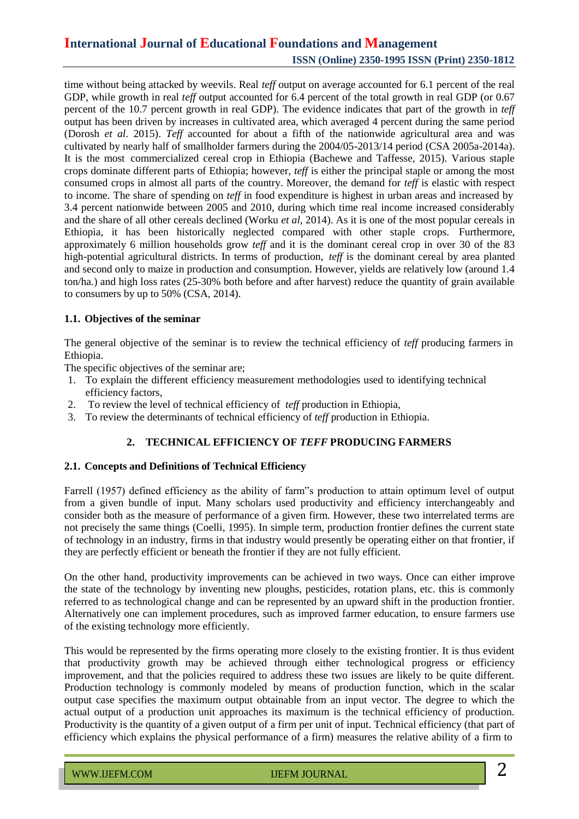time without being attacked by weevils. Real *teff* output on average accounted for 6.1 percent of the real GDP, while growth in real *teff* output accounted for 6.4 percent of the total growth in real GDP (or 0.67 percent of the 10.7 percent growth in real GDP). The evidence indicates that part of the growth in *teff* output has been driven by increases in cultivated area, which averaged 4 percent during the same period (Dorosh *et al*. 2015). *Teff* accounted for about a fifth of the nationwide agricultural area and was cultivated by nearly half of smallholder farmers during the 2004/05-2013/14 period (CSA 2005a-2014a). It is the most commercialized cereal crop in Ethiopia (Bachewe and Taffesse, 2015). Various staple crops dominate different parts of Ethiopia; however, *teff* is either the principal staple or among the most consumed crops in almost all parts of the country. Moreover, the demand for *teff* is elastic with respect to income. The share of spending on *teff* in food expenditure is highest in urban areas and increased by 3.4 percent nationwide between 2005 and 2010, during which time real income increased considerably and the share of all other cereals declined (Worku *et al,* 2014). As it is one of the most popular cereals in Ethiopia, it has been historically neglected compared with other staple crops. Furthermore, approximately 6 million households grow *teff* and it is the dominant cereal crop in over 30 of the 83 high-potential agricultural districts. In terms of production, *teff* is the dominant cereal by area planted and second only to maize in production and consumption. However, yields are relatively low (around 1.4 ton/ha.) and high loss rates (25-30% both before and after harvest) reduce the quantity of grain available to consumers by up to 50% (CSA, 2014).

### **1.1. Objectives of the seminar**

The general objective of the seminar is to review the technical efficiency of *teff* producing farmers in Ethiopia.

The specific objectives of the seminar are;

- 1. To explain the different efficiency measurement methodologies used to identifying technical efficiency factors,
- 2. To review the level of technical efficiency of *teff* production in Ethiopia,
- 3. To review the determinants of technical efficiency of *teff* production in Ethiopia.

### **2. TECHNICAL EFFICIENCY OF** *TEFF* **PRODUCING FARMERS**

#### **2.1. Concepts and Definitions of Technical Efficiency**

Farrell (1957) defined efficiency as the ability of farm"s production to attain optimum level of output from a given bundle of input. Many scholars used productivity and efficiency interchangeably and consider both as the measure of performance of a given firm. However, these two interrelated terms are not precisely the same things (Coelli, 1995). In simple term, production frontier defines the current state of technology in an industry, firms in that industry would presently be operating either on that frontier, if they are perfectly efficient or beneath the frontier if they are not fully efficient.

On the other hand, productivity improvements can be achieved in two ways. Once can either improve the state of the technology by inventing new ploughs, pesticides, rotation plans, etc. this is commonly referred to as technological change and can be represented by an upward shift in the production frontier. Alternatively one can implement procedures, such as improved farmer education, to ensure farmers use of the existing technology more efficiently.

This would be represented by the firms operating more closely to the existing frontier. It is thus evident that productivity growth may be achieved through either technological progress or efficiency improvement, and that the policies required to address these two issues are likely to be quite different. Production technology is commonly modeled by means of production function, which in the scalar output case specifies the maximum output obtainable from an input vector. The degree to which the actual output of a production unit approaches its maximum is the technical efficiency of production. Productivity is the quantity of a given output of a firm per unit of input. Technical efficiency (that part of efficiency which explains the physical performance of a firm) measures the relative ability of a firm to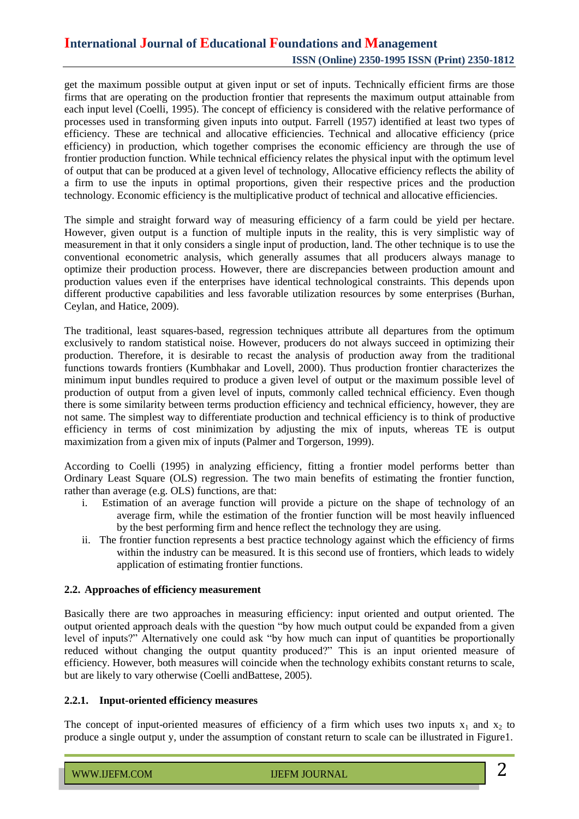get the maximum possible output at given input or set of inputs. Technically efficient firms are those firms that are operating on the production frontier that represents the maximum output attainable from each input level (Coelli, 1995). The concept of efficiency is considered with the relative performance of processes used in transforming given inputs into output. Farrell (1957) identified at least two types of efficiency. These are technical and allocative efficiencies. Technical and allocative efficiency (price efficiency) in production, which together comprises the economic efficiency are through the use of frontier production function. While technical efficiency relates the physical input with the optimum level of output that can be produced at a given level of technology, Allocative efficiency reflects the ability of a firm to use the inputs in optimal proportions, given their respective prices and the production technology. Economic efficiency is the multiplicative product of technical and allocative efficiencies.

The simple and straight forward way of measuring efficiency of a farm could be yield per hectare. However, given output is a function of multiple inputs in the reality, this is very simplistic way of measurement in that it only considers a single input of production, land. The other technique is to use the conventional econometric analysis, which generally assumes that all producers always manage to optimize their production process. However, there are discrepancies between production amount and production values even if the enterprises have identical technological constraints. This depends upon different productive capabilities and less favorable utilization resources by some enterprises (Burhan, Ceylan, and Hatice, 2009).

The traditional, least squares-based, regression techniques attribute all departures from the optimum exclusively to random statistical noise. However, producers do not always succeed in optimizing their production. Therefore, it is desirable to recast the analysis of production away from the traditional functions towards frontiers (Kumbhakar and Lovell, 2000). Thus production frontier characterizes the minimum input bundles required to produce a given level of output or the maximum possible level of production of output from a given level of inputs, commonly called technical efficiency. Even though there is some similarity between terms production efficiency and technical efficiency, however, they are not same. The simplest way to differentiate production and technical efficiency is to think of productive efficiency in terms of cost minimization by adjusting the mix of inputs*,* whereas TE is output maximization from a given mix of inputs (Palmer and Torgerson, 1999).

According to Coelli (1995) in analyzing efficiency, fitting a frontier model performs better than Ordinary Least Square (OLS) regression. The two main benefits of estimating the frontier function, rather than average (e.g. OLS) functions, are that:

- i. Estimation of an average function will provide a picture on the shape of technology of an average firm, while the estimation of the frontier function will be most heavily influenced by the best performing firm and hence reflect the technology they are using.
- ii. The frontier function represents a best practice technology against which the efficiency of firms within the industry can be measured. It is this second use of frontiers, which leads to widely application of estimating frontier functions.

#### **2.2. Approaches of efficiency measurement**

Basically there are two approaches in measuring efficiency: input oriented and output oriented. The output oriented approach deals with the question "by how much output could be expanded from a given level of inputs?" Alternatively one could ask "by how much can input of quantities be proportionally reduced without changing the output quantity produced?" This is an input oriented measure of efficiency. However, both measures will coincide when the technology exhibits constant returns to scale, but are likely to vary otherwise (Coelli andBattese, 2005).

#### **2.2.1. Input-oriented efficiency measures**

The concept of input-oriented measures of efficiency of a firm which uses two inputs  $x_1$  and  $x_2$  to produce a single output y, under the assumption of constant return to scale can be illustrated in Figure1.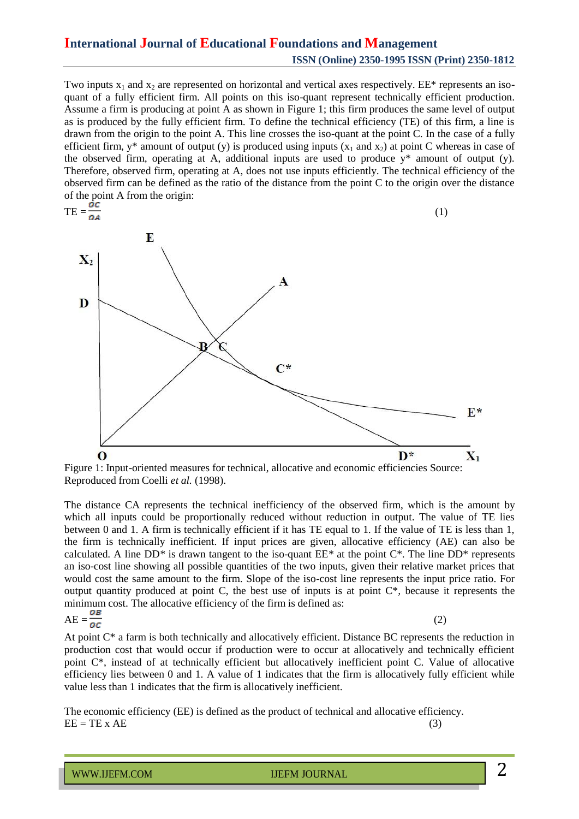Two inputs  $x_1$  and  $x_2$  are represented on horizontal and vertical axes respectively. EE\* represents an isoquant of a fully efficient firm. All points on this iso-quant represent technically efficient production. Assume a firm is producing at point A as shown in Figure 1; this firm produces the same level of output as is produced by the fully efficient firm. To define the technical efficiency (TE) of this firm, a line is drawn from the origin to the point A. This line crosses the iso-quant at the point C. In the case of a fully efficient firm,  $y^*$  amount of output (y) is produced using inputs  $(x_1$  and  $x_2$ ) at point C whereas in case of the observed firm, operating at A, additional inputs are used to produce y\* amount of output (y). Therefore, observed firm, operating at A, does not use inputs efficiently. The technical efficiency of the observed firm can be defined as the ratio of the distance from the point C to the origin over the distance of the point A from the origin:



Figure 1: Input-oriented measures for technical, allocative and economic efficiencies Source: Reproduced from Coelli *et al.* (1998).

The distance CA represents the technical inefficiency of the observed firm, which is the amount by which all inputs could be proportionally reduced without reduction in output. The value of TE lies between 0 and 1. A firm is technically efficient if it has TE equal to 1. If the value of TE is less than 1, the firm is technically inefficient. If input prices are given, allocative efficiency (AE) can also be calculated. A line DD*\** is drawn tangent to the iso-quant EE*\** at the point C\*. The line DD\* represents an iso-cost line showing all possible quantities of the two inputs, given their relative market prices that would cost the same amount to the firm. Slope of the iso-cost line represents the input price ratio. For output quantity produced at point C, the best use of inputs is at point C\**,* because it represents the minimum cost. The allocative efficiency of the firm is defined as:  $AE = \frac{1}{2}$  (2)

$$
AE = \frac{OB}{OC}
$$

At point C\* a farm is both technically and allocatively efficient. Distance BC represents the reduction in production cost that would occur if production were to occur at allocatively and technically efficient point C\*, instead of at technically efficient but allocatively inefficient point C. Value of allocative efficiency lies between 0 and 1. A value of 1 indicates that the firm is allocatively fully efficient while value less than 1 indicates that the firm is allocatively inefficient.

The economic efficiency (EE) is defined as the product of technical and allocative efficiency.  $EE = TE \times AE$  (3)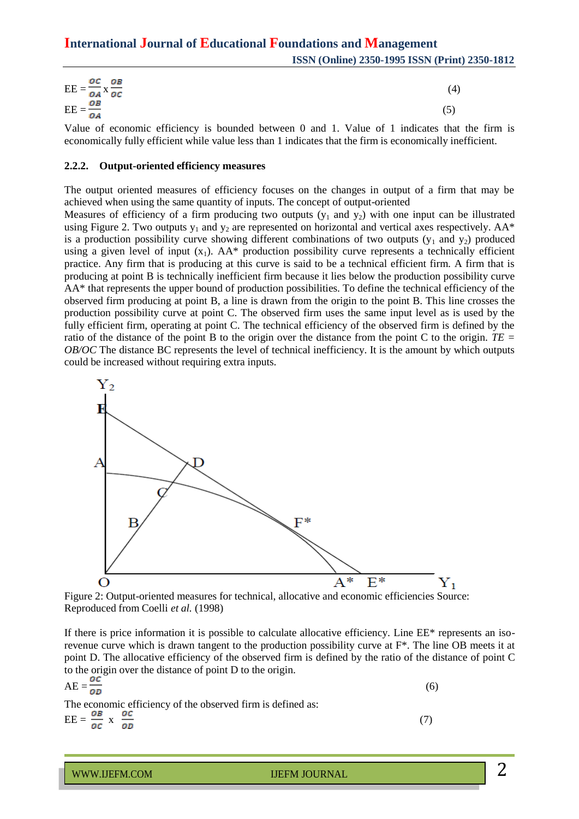| ос ов<br>$EE = \frac{DE}{OA} \times \frac{OB}{OC}$ | (4) |
|----------------------------------------------------|-----|
| $\overline{EE} = \frac{OB}{OA}$                    |     |

Value of economic efficiency is bounded between 0 and 1. Value of 1 indicates that the firm is economically fully efficient while value less than 1 indicates that the firm is economically inefficient.

#### **2.2.2. Output-oriented efficiency measures**

The output oriented measures of efficiency focuses on the changes in output of a firm that may be achieved when using the same quantity of inputs. The concept of output-oriented

Measures of efficiency of a firm producing two outputs  $(y_1$  and  $y_2)$  with one input can be illustrated using Figure 2. Two outputs  $y_1$  and  $y_2$  are represented on horizontal and vertical axes respectively. AA\* is a production possibility curve showing different combinations of two outputs  $(y_1$  and  $y_2)$  produced using a given level of input  $(x_1)$ . AA\* production possibility curve represents a technically efficient practice. Any firm that is producing at this curve is said to be a technical efficient firm. A firm that is producing at point B is technically inefficient firm because it lies below the production possibility curve AA\* that represents the upper bound of production possibilities. To define the technical efficiency of the observed firm producing at point B, a line is drawn from the origin to the point B. This line crosses the production possibility curve at point C. The observed firm uses the same input level as is used by the fully efficient firm, operating at point C. The technical efficiency of the observed firm is defined by the ratio of the distance of the point B to the origin over the distance from the point C to the origin. *TE = OB/OC* The distance BC represents the level of technical inefficiency. It is the amount by which outputs could be increased without requiring extra inputs.



Figure 2: Output-oriented measures for technical, allocative and economic efficiencies Source: Reproduced from Coelli *et al.* (1998)

If there is price information it is possible to calculate allocative efficiency. Line EE\* represents an isorevenue curve which is drawn tangent to the production possibility curve at  $F^*$ . The line OB meets it at point D. The allocative efficiency of the observed firm is defined by the ratio of the distance of point C to the origin over the distance of point D to the origin.

$$
AE = \frac{oc}{ob}
$$
  
The economic efficiency of the observed firm is defined as: (6)

 $\text{EE} = \frac{\partial B}{\partial c} \times \frac{\partial c}{\partial D}$  (7)

WWW.IJEFM.COM IJEFM JOURNAL

2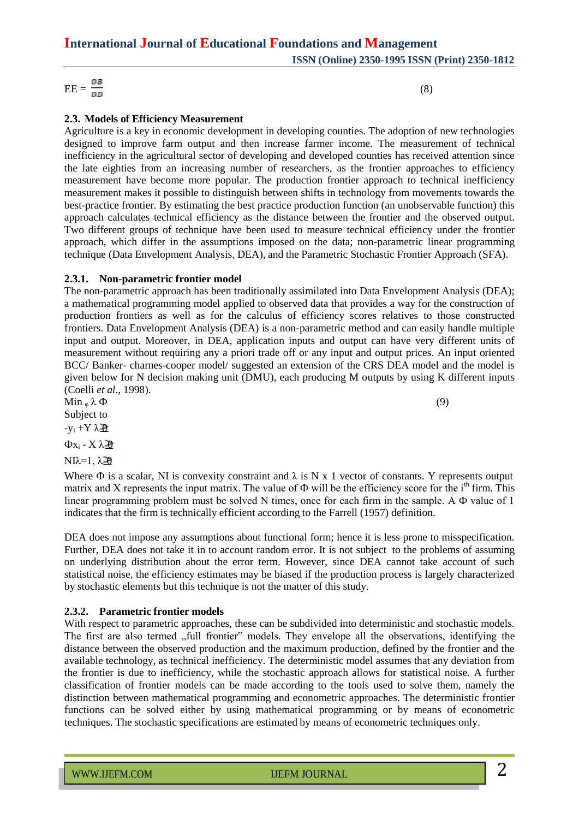$\text{EE} = \frac{OB}{OD}$  (8)

## **2.3. Models of Efficiency Measurement**

Agriculture is a key in economic development in developing counties. The adoption of new technologies designed to improve farm output and then increase farmer income. The measurement of technical inefficiency in the agricultural sector of developing and developed counties has received attention since the late eighties from an increasing number of researchers, as the frontier approaches to efficiency measurement have become more popular. The production frontier approach to technical inefficiency measurement makes it possible to distinguish between shifts in technology from movements towards the best-practice frontier. By estimating the best practice production function (an unobservable function) this approach calculates technical efficiency as the distance between the frontier and the observed output. Two different groups of technique have been used to measure technical efficiency under the frontier approach, which differ in the assumptions imposed on the data; non-parametric linear programming technique (Data Envelopment Analysis, DEA), and the Parametric Stochastic Frontier Approach (SFA).

#### **2.3.1. Non-parametric frontier model**

The non-parametric approach has been traditionally assimilated into Data Envelopment Analysis (DEA); a mathematical programming model applied to observed data that provides a way for the construction of production frontiers as well as for the calculus of efficiency scores relatives to those constructed frontiers. Data Envelopment Analysis (DEA) is a non-parametric method and can easily handle multiple input and output. Moreover, in DEA, application inputs and output can have very different units of measurement without requiring any a priori trade off or any input and output prices. An input oriented BCC/ Banker- charnes-cooper model/ suggested an extension of the CRS DEA model and the model is given below for N decision making unit (DMU), each producing M outputs by using K different inputs (Coelli *et al*., 1998).

 $\text{Min }_{\varphi} \lambda \Phi$  (9) Subject to

 $-y_i + Y \lambda \hat{p}$ 

 $Φx_i - Xλ$  $\partial$ 

NIλ=1,  $\lambda$  20

Where  $\Phi$  is a scalar, NI is convexity constraint and  $\lambda$  is N x 1 vector of constants. Y represents output matrix and X represents the input matrix. The value of  $\Phi$  will be the efficiency score for the i<sup>th</sup> firm. This linear programming problem must be solved N times, once for each firm in the sample. A Ф value of 1 indicates that the firm is technically efficient according to the Farrell (1957) definition.

DEA does not impose any assumptions about functional form; hence it is less prone to misspecification. Further, DEA does not take it in to account random error. It is not subject to the problems of assuming on underlying distribution about the error term. However, since DEA cannot take account of such statistical noise, the efficiency estimates may be biased if the production process is largely characterized by stochastic elements but this technique is not the matter of this study.

#### **2.3.2. Parametric frontier models**

With respect to parametric approaches, these can be subdivided into deterministic and stochastic models. The first are also termed "full frontier" models. They envelope all the observations, identifying the distance between the observed production and the maximum production, defined by the frontier and the available technology, as technical inefficiency. The deterministic model assumes that any deviation from the frontier is due to inefficiency, while the stochastic approach allows for statistical noise. A further classification of frontier models can be made according to the tools used to solve them, namely the distinction between mathematical programming and econometric approaches. The deterministic frontier functions can be solved either by using mathematical programming or by means of econometric techniques. The stochastic specifications are estimated by means of econometric techniques only.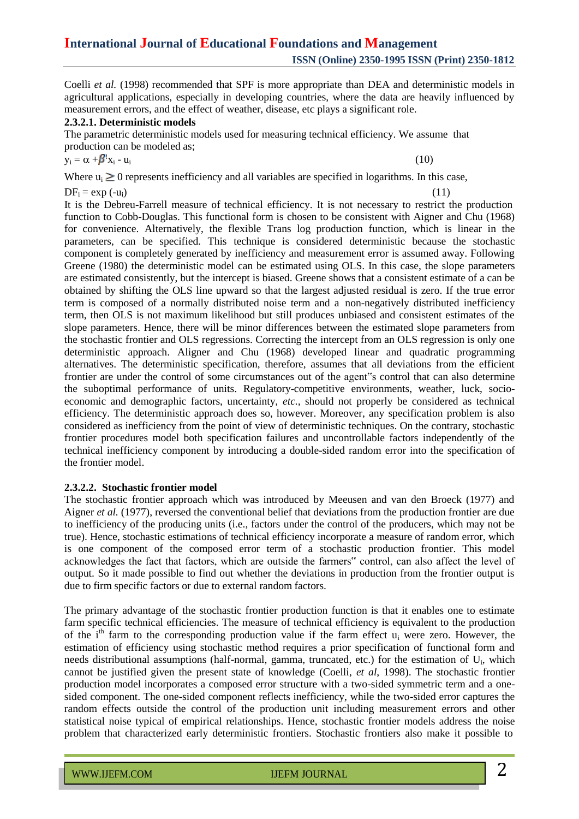Coelli *et al.* (1998) recommended that SPF is more appropriate than DEA and deterministic models in agricultural applications, especially in developing countries, where the data are heavily influenced by measurement errors, and the effect of weather, disease, etc plays a significant role.

#### **2.3.2.1. Deterministic models**

The parametric deterministic models used for measuring technical efficiency. We assume that production can be modeled as;

$$
y_i = \alpha + \beta' x_i - u_i \tag{10}
$$

Where  $u_i \geq 0$  represents inefficiency and all variables are specified in logarithms. In this case,

 $DF_i = \exp(-u_i)$  (11)

It is the Debreu-Farrell measure of technical efficiency. It is not necessary to restrict the production function to Cobb-Douglas. This functional form is chosen to be consistent with Aigner and Chu (1968) for convenience. Alternatively, the flexible Trans log production function, which is linear in the parameters, can be specified. This technique is considered deterministic because the stochastic component is completely generated by inefficiency and measurement error is assumed away. Following Greene (1980) the deterministic model can be estimated using OLS. In this case, the slope parameters are estimated consistently, but the intercept is biased. Greene shows that a consistent estimate of a can be obtained by shifting the OLS line upward so that the largest adjusted residual is zero. If the true error term is composed of a normally distributed noise term and a non-negatively distributed inefficiency term, then OLS is not maximum likelihood but still produces unbiased and consistent estimates of the slope parameters. Hence, there will be minor differences between the estimated slope parameters from the stochastic frontier and OLS regressions. Correcting the intercept from an OLS regression is only one deterministic approach. Aligner and Chu (1968) developed linear and quadratic programming alternatives. The deterministic specification, therefore, assumes that all deviations from the efficient frontier are under the control of some circumstances out of the agent"s control that can also determine the suboptimal performance of units. Regulatory-competitive environments, weather, luck, socioeconomic and demographic factors, uncertainty, *etc.,* should not properly be considered as technical efficiency. The deterministic approach does so, however. Moreover, any specification problem is also considered as inefficiency from the point of view of deterministic techniques. On the contrary, stochastic frontier procedures model both specification failures and uncontrollable factors independently of the technical inefficiency component by introducing a double-sided random error into the specification of the frontier model.

#### **2.3.2.2. Stochastic frontier model**

The stochastic frontier approach which was introduced by Meeusen and van den Broeck (1977) and Aigner *et al.* (1977), reversed the conventional belief that deviations from the production frontier are due to inefficiency of the producing units (i.e., factors under the control of the producers, which may not be true). Hence, stochastic estimations of technical efficiency incorporate a measure of random error, which is one component of the composed error term of a stochastic production frontier. This model acknowledges the fact that factors, which are outside the farmers" control, can also affect the level of output. So it made possible to find out whether the deviations in production from the frontier output is due to firm specific factors or due to external random factors.

The primary advantage of the stochastic frontier production function is that it enables one to estimate farm specific technical efficiencies. The measure of technical efficiency is equivalent to the production of the  $i<sup>th</sup>$  farm to the corresponding production value if the farm effect  $u_i$  were zero. However, the estimation of efficiency using stochastic method requires a prior specification of functional form and needs distributional assumptions (half-normal, gamma, truncated, etc.) for the estimation of U<sub>i</sub>, which cannot be justified given the present state of knowledge (Coelli, *et al*, 1998). The stochastic frontier production model incorporates a composed error structure with a two-sided symmetric term and a onesided component. The one-sided component reflects inefficiency, while the two-sided error captures the random effects outside the control of the production unit including measurement errors and other statistical noise typical of empirical relationships. Hence, stochastic frontier models address the noise problem that characterized early deterministic frontiers. Stochastic frontiers also make it possible to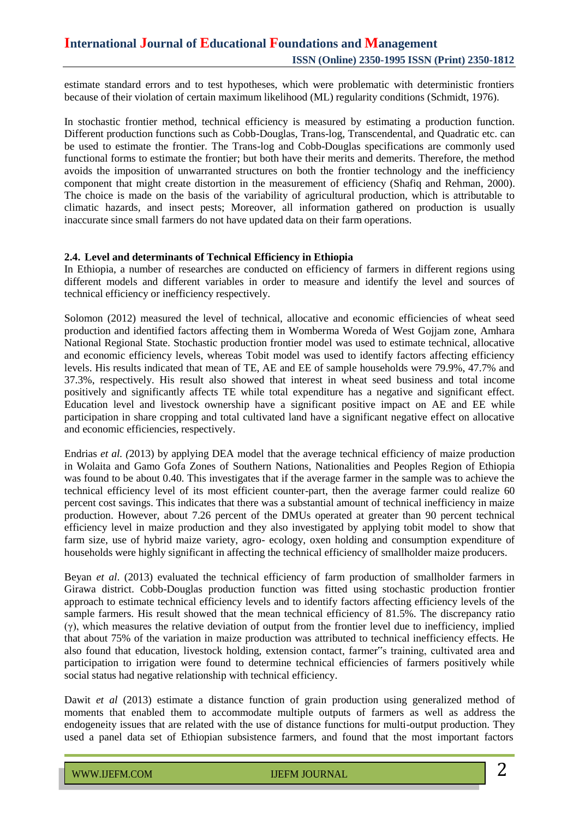estimate standard errors and to test hypotheses, which were problematic with deterministic frontiers because of their violation of certain maximum likelihood (ML) regularity conditions (Schmidt, 1976).

In stochastic frontier method, technical efficiency is measured by estimating a production function. Different production functions such as Cobb-Douglas, Trans-log, Transcendental, and Quadratic etc. can be used to estimate the frontier. The Trans-log and Cobb-Douglas specifications are commonly used functional forms to estimate the frontier; but both have their merits and demerits. Therefore, the method avoids the imposition of unwarranted structures on both the frontier technology and the inefficiency component that might create distortion in the measurement of efficiency (Shafiq and Rehman, 2000). The choice is made on the basis of the variability of agricultural production, which is attributable to climatic hazards, and insect pests; Moreover, all information gathered on production is usually inaccurate since small farmers do not have updated data on their farm operations.

#### **2.4. Level and determinants of Technical Efficiency in Ethiopia**

In Ethiopia, a number of researches are conducted on efficiency of farmers in different regions using different models and different variables in order to measure and identify the level and sources of technical efficiency or inefficiency respectively.

Solomon (2012) measured the level of technical, allocative and economic efficiencies of wheat seed production and identified factors affecting them in Womberma Woreda of West Gojjam zone, Amhara National Regional State. Stochastic production frontier model was used to estimate technical, allocative and economic efficiency levels, whereas Tobit model was used to identify factors affecting efficiency levels. His results indicated that mean of TE, AE and EE of sample households were 79.9%, 47.7% and 37.3%, respectively. His result also showed that interest in wheat seed business and total income positively and significantly affects TE while total expenditure has a negative and significant effect. Education level and livestock ownership have a significant positive impact on AE and EE while participation in share cropping and total cultivated land have a significant negative effect on allocative and economic efficiencies, respectively.

Endrias *et al. (*2013) by applying DEA model that the average technical efficiency of maize production in Wolaita and Gamo Gofa Zones of Southern Nations, Nationalities and Peoples Region of Ethiopia was found to be about 0.40. This investigates that if the average farmer in the sample was to achieve the technical efficiency level of its most efficient counter-part, then the average farmer could realize 60 percent cost savings. This indicates that there was a substantial amount of technical inefficiency in maize production. However, about 7.26 percent of the DMUs operated at greater than 90 percent technical efficiency level in maize production and they also investigated by applying tobit model to show that farm size, use of hybrid maize variety, agro- ecology, oxen holding and consumption expenditure of households were highly significant in affecting the technical efficiency of smallholder maize producers.

Beyan *et al*. (2013) evaluated the technical efficiency of farm production of smallholder farmers in Girawa district. Cobb-Douglas production function was fitted using stochastic production frontier approach to estimate technical efficiency levels and to identify factors affecting efficiency levels of the sample farmers. His result showed that the mean technical efficiency of 81.5%. The discrepancy ratio (γ), which measures the relative deviation of output from the frontier level due to inefficiency, implied that about 75% of the variation in maize production was attributed to technical inefficiency effects. He also found that education, livestock holding, extension contact, farmer"s training, cultivated area and participation to irrigation were found to determine technical efficiencies of farmers positively while social status had negative relationship with technical efficiency.

Dawit *et al* (2013) estimate a distance function of grain production using generalized method of moments that enabled them to accommodate multiple outputs of farmers as well as address the endogeneity issues that are related with the use of distance functions for multi-output production. They used a panel data set of Ethiopian subsistence farmers, and found that the most important factors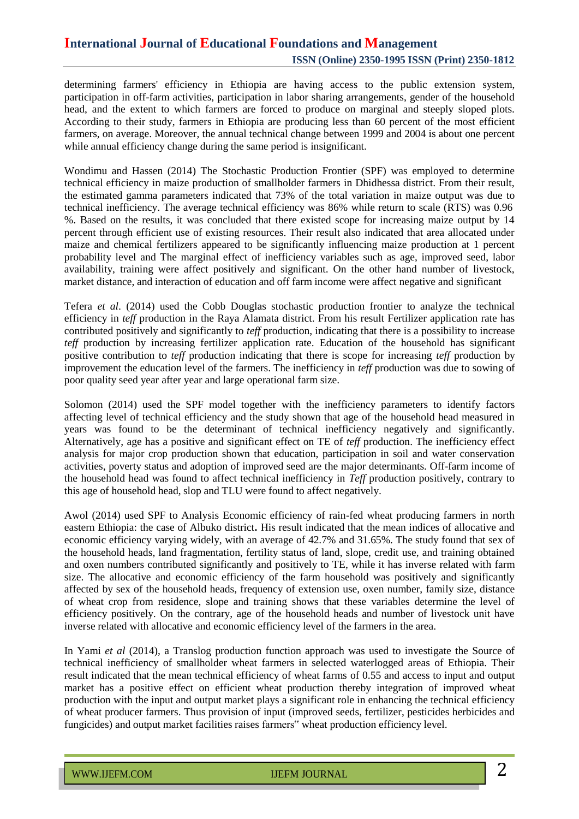determining farmers' efficiency in Ethiopia are having access to the public extension system, participation in off-farm activities, participation in labor sharing arrangements, gender of the household head, and the extent to which farmers are forced to produce on marginal and steeply sloped plots. According to their study, farmers in Ethiopia are producing less than 60 percent of the most efficient farmers, on average. Moreover, the annual technical change between 1999 and 2004 is about one percent while annual efficiency change during the same period is insignificant.

Wondimu and Hassen (2014) The Stochastic Production Frontier (SPF) was employed to determine technical efficiency in maize production of smallholder farmers in Dhidhessa district. From their result, the estimated gamma parameters indicated that 73% of the total variation in maize output was due to technical inefficiency. The average technical efficiency was 86% while return to scale (RTS) was 0.96 %. Based on the results, it was concluded that there existed scope for increasing maize output by 14 percent through efficient use of existing resources. Their result also indicated that area allocated under maize and chemical fertilizers appeared to be significantly influencing maize production at 1 percent probability level and The marginal effect of inefficiency variables such as age, improved seed, labor availability, training were affect positively and significant. On the other hand number of livestock, market distance, and interaction of education and off farm income were affect negative and significant

Tefera *et al*. (2014) used the Cobb Douglas stochastic production frontier to analyze the technical efficiency in *teff* production in the Raya Alamata district. From his result Fertilizer application rate has contributed positively and significantly to *teff* production, indicating that there is a possibility to increase *teff* production by increasing fertilizer application rate. Education of the household has significant positive contribution to *teff* production indicating that there is scope for increasing *teff* production by improvement the education level of the farmers. The inefficiency in *teff* production was due to sowing of poor quality seed year after year and large operational farm size.

Solomon (2014) used the SPF model together with the inefficiency parameters to identify factors affecting level of technical efficiency and the study shown that age of the household head measured in years was found to be the determinant of technical inefficiency negatively and significantly. Alternatively, age has a positive and significant effect on TE of *teff* production. The inefficiency effect analysis for major crop production shown that education, participation in soil and water conservation activities, poverty status and adoption of improved seed are the major determinants. Off-farm income of the household head was found to affect technical inefficiency in *Teff* production positively, contrary to this age of household head, slop and TLU were found to affect negatively.

Awol (2014) used SPF to Analysis Economic efficiency of rain-fed wheat producing farmers in north eastern Ethiopia: the case of Albuko district**.** His result indicated that the mean indices of allocative and economic efficiency varying widely, with an average of 42.7% and 31.65%. The study found that sex of the household heads, land fragmentation, fertility status of land, slope, credit use, and training obtained and oxen numbers contributed significantly and positively to TE, while it has inverse related with farm size. The allocative and economic efficiency of the farm household was positively and significantly affected by sex of the household heads, frequency of extension use, oxen number, family size, distance of wheat crop from residence, slope and training shows that these variables determine the level of efficiency positively. On the contrary, age of the household heads and number of livestock unit have inverse related with allocative and economic efficiency level of the farmers in the area.

In Yami *et al* (2014), a Translog production function approach was used to investigate the Source of technical inefficiency of smallholder wheat farmers in selected waterlogged areas of Ethiopia. Their result indicated that the mean technical efficiency of wheat farms of 0.55 and access to input and output market has a positive effect on efficient wheat production thereby integration of improved wheat production with the input and output market plays a significant role in enhancing the technical efficiency of wheat producer farmers. Thus provision of input (improved seeds, fertilizer, pesticides herbicides and fungicides) and output market facilities raises farmers" wheat production efficiency level.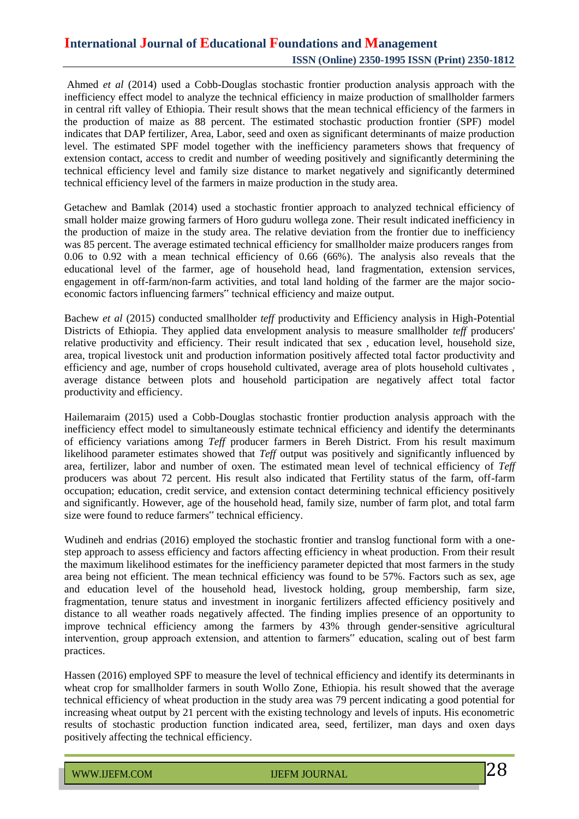Ahmed *et al* (2014) used a Cobb-Douglas stochastic frontier production analysis approach with the inefficiency effect model to analyze the technical efficiency in maize production of smallholder farmers in central rift valley of Ethiopia. Their result shows that the mean technical efficiency of the farmers in the production of maize as 88 percent. The estimated stochastic production frontier (SPF) model indicates that DAP fertilizer, Area, Labor, seed and oxen as significant determinants of maize production level. The estimated SPF model together with the inefficiency parameters shows that frequency of extension contact, access to credit and number of weeding positively and significantly determining the technical efficiency level and family size distance to market negatively and significantly determined technical efficiency level of the farmers in maize production in the study area.

Getachew and Bamlak (2014) used a stochastic frontier approach to analyzed technical efficiency of small holder maize growing farmers of Horo guduru wollega zone. Their result indicated inefficiency in the production of maize in the study area. The relative deviation from the frontier due to inefficiency was 85 percent. The average estimated technical efficiency for smallholder maize producers ranges from 0.06 to 0.92 with a mean technical efficiency of 0.66 (66%). The analysis also reveals that the educational level of the farmer, age of household head, land fragmentation, extension services, engagement in off-farm/non-farm activities, and total land holding of the farmer are the major socioeconomic factors influencing farmers" technical efficiency and maize output.

Bachew *et al* (2015) conducted smallholder *teff* productivity and Efficiency analysis in High-Potential Districts of Ethiopia. They applied data envelopment analysis to measure smallholder *teff* producers' relative productivity and efficiency. Their result indicated that sex , education level, household size, area, tropical livestock unit and production information positively affected total factor productivity and efficiency and age, number of crops household cultivated, average area of plots household cultivates , average distance between plots and household participation are negatively affect total factor productivity and efficiency.

Hailemaraim (2015) used a Cobb-Douglas stochastic frontier production analysis approach with the inefficiency effect model to simultaneously estimate technical efficiency and identify the determinants of efficiency variations among *Teff* producer farmers in Bereh District. From his result maximum likelihood parameter estimates showed that *Teff* output was positively and significantly influenced by area, fertilizer, labor and number of oxen. The estimated mean level of technical efficiency of *Teff* producers was about 72 percent. His result also indicated that Fertility status of the farm, off-farm occupation; education, credit service, and extension contact determining technical efficiency positively and significantly. However, age of the household head, family size, number of farm plot, and total farm size were found to reduce farmers" technical efficiency.

Wudineh and endrias (2016) employed the stochastic frontier and translog functional form with a onestep approach to assess efficiency and factors affecting efficiency in wheat production. From their result the maximum likelihood estimates for the inefficiency parameter depicted that most farmers in the study area being not efficient. The mean technical efficiency was found to be 57%. Factors such as sex, age and education level of the household head, livestock holding, group membership, farm size, fragmentation, tenure status and investment in inorganic fertilizers affected efficiency positively and distance to all weather roads negatively affected. The finding implies presence of an opportunity to improve technical efficiency among the farmers by 43% through gender-sensitive agricultural intervention, group approach extension, and attention to farmers" education, scaling out of best farm practices.

Hassen (2016) employed SPF to measure the level of technical efficiency and identify its determinants in wheat crop for smallholder farmers in south Wollo Zone, Ethiopia. his result showed that the average technical efficiency of wheat production in the study area was 79 percent indicating a good potential for increasing wheat output by 21 percent with the existing technology and levels of inputs. His econometric results of stochastic production function indicated area, seed, fertilizer, man days and oxen days positively affecting the technical efficiency.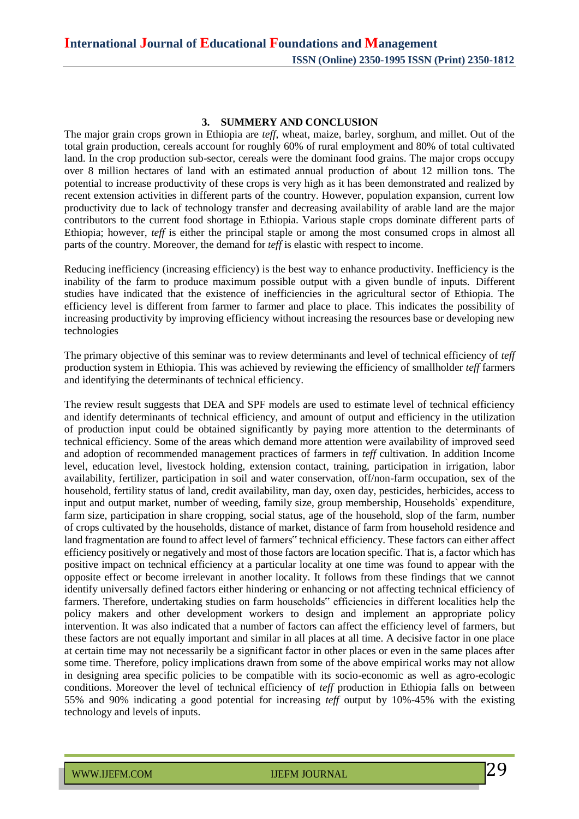#### **3. SUMMERY AND CONCLUSION**

The major grain crops grown in Ethiopia are *teff*, wheat, maize, barley, sorghum, and millet. Out of the total grain production, cereals account for roughly 60% of rural employment and 80% of total cultivated land. In the crop production sub-sector, cereals were the dominant food grains. The major crops occupy over 8 million hectares of land with an estimated annual production of about 12 million tons. The potential to increase productivity of these crops is very high as it has been demonstrated and realized by recent extension activities in different parts of the country. However, population expansion, current low productivity due to lack of technology transfer and decreasing availability of arable land are the major contributors to the current food shortage in Ethiopia. Various staple crops dominate different parts of Ethiopia; however, *teff* is either the principal staple or among the most consumed crops in almost all parts of the country. Moreover, the demand for *teff* is elastic with respect to income.

Reducing inefficiency (increasing efficiency) is the best way to enhance productivity. Inefficiency is the inability of the farm to produce maximum possible output with a given bundle of inputs. Different studies have indicated that the existence of inefficiencies in the agricultural sector of Ethiopia. The efficiency level is different from farmer to farmer and place to place. This indicates the possibility of increasing productivity by improving efficiency without increasing the resources base or developing new technologies

The primary objective of this seminar was to review determinants and level of technical efficiency of *teff* production system in Ethiopia. This was achieved by reviewing the efficiency of smallholder *teff* farmers and identifying the determinants of technical efficiency.

The review result suggests that DEA and SPF models are used to estimate level of technical efficiency and identify determinants of technical efficiency, and amount of output and efficiency in the utilization of production input could be obtained significantly by paying more attention to the determinants of technical efficiency. Some of the areas which demand more attention were availability of improved seed and adoption of recommended management practices of farmers in *teff* cultivation. In addition Income level, education level, livestock holding, extension contact, training, participation in irrigation, labor availability, fertilizer, participation in soil and water conservation, off/non-farm occupation, sex of the household, fertility status of land, credit availability, man day, oxen day, pesticides, herbicides, access to input and output market, number of weeding, family size, group membership, Households` expenditure, farm size, participation in share cropping, social status, age of the household, slop of the farm, number of crops cultivated by the households, distance of market, distance of farm from household residence and land fragmentation are found to affect level of farmers" technical efficiency. These factors can either affect efficiency positively or negatively and most of those factors are location specific. That is, a factor which has positive impact on technical efficiency at a particular locality at one time was found to appear with the opposite effect or become irrelevant in another locality. It follows from these findings that we cannot identify universally defined factors either hindering or enhancing or not affecting technical efficiency of farmers. Therefore, undertaking studies on farm households" efficiencies in different localities help the policy makers and other development workers to design and implement an appropriate policy intervention. It was also indicated that a number of factors can affect the efficiency level of farmers, but these factors are not equally important and similar in all places at all time. A decisive factor in one place at certain time may not necessarily be a significant factor in other places or even in the same places after some time. Therefore, policy implications drawn from some of the above empirical works may not allow in designing area specific policies to be compatible with its socio-economic as well as agro-ecologic conditions. Moreover the level of technical efficiency of *teff* production in Ethiopia falls on between 55% and 90% indicating a good potential for increasing *teff* output by 10%-45% with the existing technology and levels of inputs.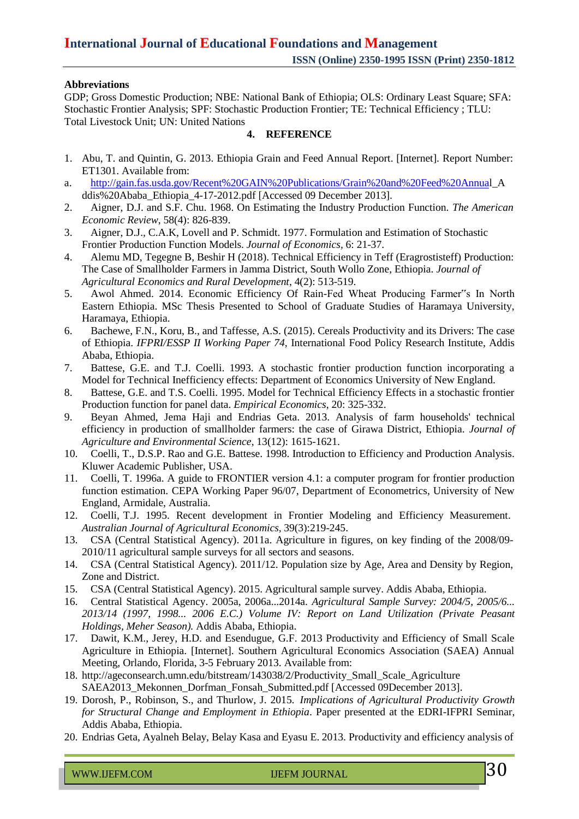### **Abbreviations**

GDP; Gross Domestic Production; NBE: National Bank of Ethiopia; OLS: Ordinary Least Square; SFA: Stochastic Frontier Analysis; SPF: Stochastic Production Frontier; TE: Technical Efficiency ; TLU: Total Livestock Unit; UN: United Nations

### **4. REFERENCE**

- 1. Abu, T. and Quintin, G. 2013. Ethiopia Grain and Feed Annual Report. [Internet]. Report Number: ET1301. Available from:
- a. [http://gain.fas.usda.gov/Recent%20GAIN%20Publications/Grain%20and%20Feed%20Annual](http://gain.fas.usda.gov/Recent%20GAIN%20Publications/Grain%20and%20Feed%20Annua)\_A ddis%20Ababa\_Ethiopia\_4-17-2012.pdf [Accessed 09 December 2013].
- 2. Aigner, D.J. and S.F. Chu. 1968. On Estimating the Industry Production Function. *The American Economic Review*, 58(4): 826-839.
- 3. Aigner, D.J., C.A.K, Lovell and P. Schmidt. 1977. Formulation and Estimation of Stochastic Frontier Production Function Models. *Journal of Economics,* 6: 21-37.
- 4. Alemu MD, Tegegne B, Beshir H (2018). Technical Efficiency in Teff (Eragrostisteff) Production: The Case of Smallholder Farmers in Jamma District, South Wollo Zone, Ethiopia. *Journal of Agricultural Economics and Rural Development*, 4(2): 513-519.
- 5. Awol Ahmed. 2014. Economic Efficiency Of Rain-Fed Wheat Producing Farmer"s In North Eastern Ethiopia. MSc Thesis Presented to School of Graduate Studies of Haramaya University, Haramaya, Ethiopia.
- 6. Bachewe, F.N., Koru, B., and Taffesse, A.S. (2015). Cereals Productivity and its Drivers: The case of Ethiopia. *IFPRI/ESSP II Working Paper 74,* International Food Policy Research Institute, Addis Ababa, Ethiopia.
- 7. Battese, G.E. and T.J. Coelli. 1993. A stochastic frontier production function incorporating a Model for Technical Inefficiency effects: Department of Economics University of New England.
- 8. Battese, G.E. and T.S. Coelli. 1995. Model for Technical Efficiency Effects in a stochastic frontier Production function for panel data. *Empirical Economics*, 20: 325-332.
- 9. Beyan Ahmed, Jema Haji and Endrias Geta. 2013. Analysis of farm households' technical efficiency in production of smallholder farmers: the case of Girawa District, Ethiopia. *Journal of Agriculture and Environmental Science*, 13(12): 1615-1621.
- 10. Coelli, T., D.S.P. Rao and G.E. Battese. 1998. Introduction to Efficiency and Production Analysis. Kluwer Academic Publisher, USA.
- 11. Coelli, T. 1996a. A guide to FRONTIER version 4.1: a computer program for frontier production function estimation. CEPA Working Paper 96/07, Department of Econometrics, University of New England, Armidale, Australia.
- 12. Coelli, T.J. 1995. Recent development in Frontier Modeling and Efficiency Measurement. *Australian Journal of Agricultural Economics,* 39(3):219-245.
- 13. CSA (Central Statistical Agency). 2011a. Agriculture in figures, on key finding of the 2008/09- 2010/11 agricultural sample surveys for all sectors and seasons.
- 14. CSA (Central Statistical Agency). 2011/12. Population size by Age, Area and Density by Region, Zone and District.
- 15. CSA (Central Statistical Agency). 2015. Agricultural sample survey. Addis Ababa, Ethiopia.
- 16. Central Statistical Agency. 2005a, 2006a...2014a. *Agricultural Sample Survey: 2004/5, 2005/6... 2013/14 (1997, 1998... 2006 E.C.) Volume IV: Report on Land Utilization (Private Peasant Holdings, Meher Season).* Addis Ababa, Ethiopia.
- 17. Dawit, K.M., Jerey, H.D. and Esendugue, G.F. 2013 Productivity and Efficiency of Small Scale Agriculture in Ethiopia. [Internet]. Southern Agricultural Economics Association (SAEA) Annual Meeting, Orlando, Florida, 3-5 February 2013. Available from:
- 18. [http://ageconsearch.umn.edu/bitstream/143038/2/Productivity\\_Small\\_Scale\\_Agriculture](http://ageconsearch.umn.edu/bitstream/143038/2/Productivity_Small_Scale_Agriculture) SAEA2013\_Mekonnen\_Dorfman\_Fonsah\_Submitted.pdf [Accessed 09December 2013].
- 19. Dorosh, P., Robinson, S., and Thurlow, J. 2015. *Implications of Agricultural Productivity Growth for Structural Change and Employment in Ethiopia*. Paper presented at the EDRI-IFPRI Seminar, Addis Ababa, Ethiopia.
- 20. Endrias Geta, Ayalneh Belay, Belay Kasa and Eyasu E. 2013. Productivity and efficiency analysis of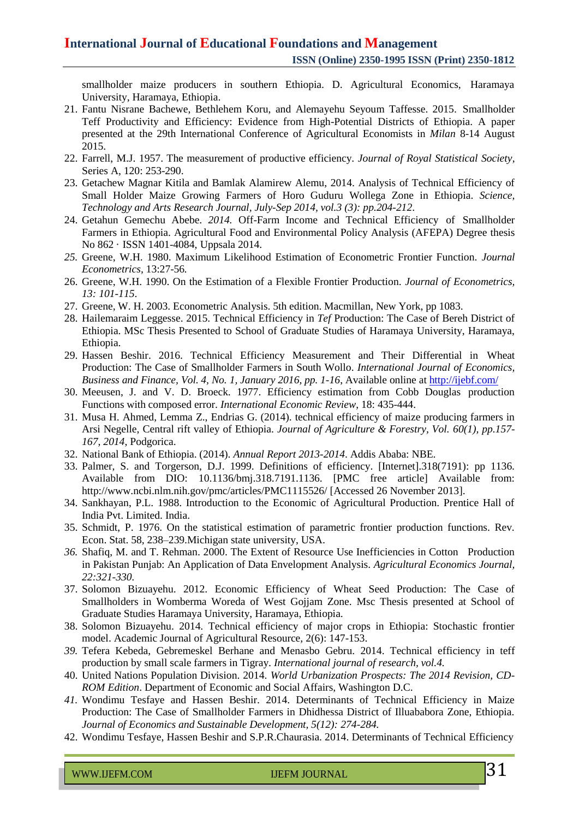smallholder maize producers in southern Ethiopia. D. Agricultural Economics, Haramaya University, Haramaya, Ethiopia.

- 21. Fantu Nisrane Bachewe, Bethlehem Koru, and Alemayehu Seyoum Taffesse. 2015. Smallholder Teff Productivity and Efficiency: Evidence from High-Potential Districts of Ethiopia. A paper presented at the 29th International Conference of Agricultural Economists in *Milan* 8-14 August 2015.
- 22. Farrell, M.J. 1957. The measurement of productive efficiency. *Journal of Royal Statistical Society*, Series A, 120: 253-290.
- 23. Getachew Magnar Kitila and Bamlak Alamirew Alemu, 2014. Analysis of Technical Efficiency of Small Holder Maize Growing Farmers of Horo Guduru Wollega Zone in Ethiopia. *Science, Technology and Arts Research Journal, July-Sep 2014, vol.3 (3): pp.204-212*.
- 24. Getahun Gemechu Abebe. *2014.* Off-Farm Income and Technical Efficiency of Smallholder Farmers in Ethiopia. Agricultural Food and Environmental Policy Analysis (AFEPA) Degree thesis No 862 · ISSN 1401-4084, Uppsala 2014.
- *25.* Greene, W.H. 1980. Maximum Likelihood Estimation of Econometric Frontier Function. *Journal Econometrics,* 13:27-56*.*
- 26. Greene, W.H. 1990. On the Estimation of a Flexible Frontier Production. *Journal of Econometrics, 13: 101-115*.
- 27. Greene, W. H. 2003. Econometric Analysis. 5th edition. Macmillan, New York, pp 1083.
- 28. Hailemaraim Leggesse. 2015. Technical Efficiency in *Tef* Production: The Case of Bereh District of Ethiopia. MSc Thesis Presented to School of Graduate Studies of Haramaya University, Haramaya, Ethiopia.
- 29. Hassen Beshir. 2016. Technical Efficiency Measurement and Their Differential in Wheat Production: The Case of Smallholder Farmers in South Wollo. *International Journal of Economics, Business and Finance, Vol. 4, No. 1, January 2016, pp. 1-16*, Available online at <http://ijebf.com/>
- 30. Meeusen, J. and V. D. Broeck. 1977. Efficiency estimation from Cobb Douglas production Functions with composed error. *International Economic Review*, 18: 435-444.
- 31. Musa H. Ahmed, Lemma Z., Endrias G. (2014). technical efficiency of maize producing farmers in Arsi Negelle, Central rift valley of Ethiopia. *Journal of Agriculture & Forestry, Vol. 60(1), pp.157- 167, 2014*, Podgorica.
- 32. National Bank of Ethiopia. (2014). *Annual Report 2013-2014*. Addis Ababa: NBE.
- 33. Palmer, S. and Torgerson, D.J. 1999. Definitions of efficiency. [Internet].318(7191): pp 1136. Available from DIO: 10.1136/bmj.318.7191.1136. [PMC free article] Available from: <http://www.ncbi.nlm.nih.gov/pmc/articles/PMC1115526/> [Accessed 26 November 2013].
- 34. Sankhayan, P.L. 1988. Introduction to the Economic of Agricultural Production. Prentice Hall of India Pvt. Limited. India.
- 35. Schmidt, P. 1976. On the statistical estimation of parametric frontier production functions. Rev. Econ. Stat. 58, 238–239.Michigan state university, USA.
- *36.* Shafiq, M. and T. Rehman. 2000. The Extent of Resource Use Inefficiencies in Cotton Production in Pakistan Punjab: An Application of Data Envelopment Analysis. *Agricultural Economics Journal, 22:321-330.*
- 37. Solomon Bizuayehu. 2012. Economic Efficiency of Wheat Seed Production: The Case of Smallholders in Womberma Woreda of West Gojjam Zone. Msc Thesis presented at School of Graduate Studies Haramaya University, Haramaya, Ethiopia.
- 38. Solomon Bizuayehu. 2014. Technical efficiency of major crops in Ethiopia: Stochastic frontier model. Academic Journal of Agricultural Resource, 2(6): 147-153.
- *39.* Tefera Kebeda, Gebremeskel Berhane and Menasbo Gebru. 2014. Technical efficiency in teff production by small scale farmers in Tigray. *International journal of research, vol.4.*
- 40. United Nations Population Division. 2014. *World Urbanization Prospects: The 2014 Revision, CD-ROM Edition*. Department of Economic and Social Affairs, Washington D.C.
- *41.* Wondimu Tesfaye and Hassen Beshir. 2014. Determinants of Technical Efficiency in Maize Production: The Case of Smallholder Farmers in Dhidhessa District of Illuababora Zone, Ethiopia. *Journal of Economics and Sustainable Development, 5(12): 274-284.*
- 42. Wondimu Tesfaye, Hassen Beshir and S.P.R.Chaurasia. 2014. Determinants of Technical Efficiency